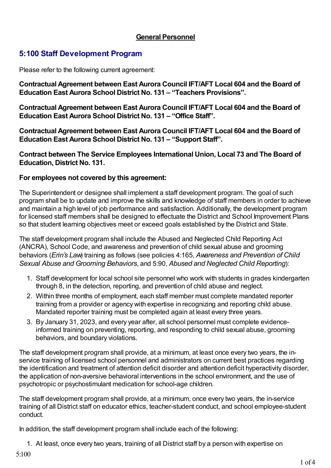## **General Personnel**

## **5:100 Staff Development Program**

Please refer to the following current agreement:

**Contractual Agreement between East Aurora Council IFT/AFT Local 604 and the Board of Education East Aurora School District No. 131 – "Teachers Provisions".**

**Contractual Agreement between East Aurora Council IFT/AFT Local 604 and the Board of Education East Aurora School District No. 131 – "Office Staff".**

**Contractual Agreement between East Aurora Council IFT/AFT Local 604 and the Board of Education East Aurora School District No. 131 – "Support Staff".**

**Contract between The Service Employees International Union, Local 73 and The Board of Education, District No. 131.**

## **For employees not covered by this agreement:**

The Superintendent or designee shall implement a staff development program. The goal of such program shall be to update and improve the skills and knowledge of staff members in order to achieve and maintain a high level of job performance and satisfaction. Additionally, the development program for licensed staff members shall be designed to effectuate the District and School Improvement Plans so that student learning objectives meet or exceed goals established by the District and State.

The staff development program shall include the Abused and Neglected Child Reporting Act (ANCRA), School Code, and awareness and prevention of child sexual abuse and grooming behaviors (*Erin's Law*) training as follows (see policies 4:165, *Awareness and Prevention of Child Sexual Abuse and Grooming Behaviors*, and 5:90, *Abused and Neglected Child Reporting*):

- 1. Staff development for local school site personnel who work with students in grades kindergarten through 8, in the detection, reporting, and prevention of child abuse and neglect.
- 2. Within three months of employment, each staff member must complete mandated reporter training from a provider or agency with expertise in recognizing and reporting child abuse. Mandated reporter training must be completed again at least every three years.
- 3. By January 31, 2023, and every year after, all school personnel must complete evidenceinformed training on preventing, reporting, and responding to child sexual abuse, grooming behaviors, and boundary violations.

The staff development program shall provide, at a minimum, at least once every two years, the inservice training of licensed school personnel and administrators on current best practices regarding the identification and treatment of attention deficit disorder and attention deficit hyperactivity disorder, the application of non-aversive behavioral interventions in the school environment, and the use of psychotropic or psychostimulant medication for school-age children.

The staff development program shall provide, at a minimum, once every two years, the in-service training of all District staff on educator ethics, teacher-student conduct, and school employee-student conduct.

In addition, the staff development program shall include each of the following:

1. At least, once every two years, training of all District staff by a person with expertise on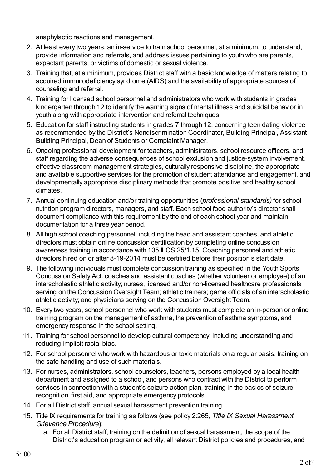anaphylactic reactions and management.

- 2. At least every two years, an in-service to train school personnel, at a minimum, to understand, provide information and referrals, and address issues pertaining to youth who are parents, expectant parents, or victims of domestic or sexual violence.
- 3. Training that, at a minimum, provides District staff with a basic knowledge of matters relating to acquired immunodeficiency syndrome (AIDS) and the availability of appropriate sources of counseling and referral.
- 4. Training for licensed school personnel and administrators who work with students in grades kindergarten through 12 to identify the warning signs of mental illness and suicidal behavior in youth along with appropriate intervention and referral techniques.
- 5. Education for staff instructing students in grades 7 through 12, concerning teen dating violence as recommended by the District's Nondiscrimination Coordinator, Building Principal, Assistant Building Principal, Dean of Students or Complaint Manager.
- 6. Ongoing professional development for teachers, administrators, school resource officers, and staff regarding the adverse consequences of school exclusion and justice-system involvement, effective classroom management strategies, culturally responsive discipline, the appropriate and available supportive services for the promotion of student attendance and engagement, and developmentally appropriate disciplinary methods that promote positive and healthy school climates.
- 7. Annual continuing education and/or training opportunities (*professional standards)* for school nutrition program directors, managers, and staff. Each school food authority's director shall document compliance with this requirement by the end of each school year and maintain documentation for a three year period.
- 8. All high school coaching personnel, including the head and assistant coaches, and athletic directors must obtain online concussion certification by completing online concussion awareness training in accordance with 105 ILCS 25/1.15. Coaching personnel and athletic directors hired on or after 8-19-2014 must be certified before their position's start date.
- 9. The following individuals must complete concussion training as specified in the Youth Sports Concussion Safety Act: coaches and assistant coaches (whether volunteer or employee) of an interscholastic athletic activity; nurses, licensed and/or non-licensed healthcare professionals serving on the Concussion Oversight Team; athletic trainers; game officials of an interscholastic athletic activity; and physicians serving on the Concussion Oversight Team.
- 10. Every two years, school personnel who work with students must complete an in-person or online training program on the management of asthma, the prevention of asthma symptoms, and emergency response in the school setting.
- 11. Training for school personnel to develop cultural competency, including understanding and reducing implicit racial bias.
- 12. For school personnel who work with hazardous or toxic materials on a regular basis, training on the safe handling and use of such materials.
- 13. For nurses, administrators, school counselors, teachers, persons employed by a local health department and assigned to a school, and persons who contract with the District to perform services in connection with a student's seizure action plan, training in the basics of seizure recognition, first aid, and appropriate emergency protocols.
- 14. For all District staff, annual sexual harassment prevention training.
- 15. Title IX requirements for training as follows (see policy 2:265, *Title IX Sexual Harassment Grievance Procedure*):
	- a. For all District staff, training on the definition of sexual harassment, the scope of the District's education program or activity, all relevant District policies and procedures, and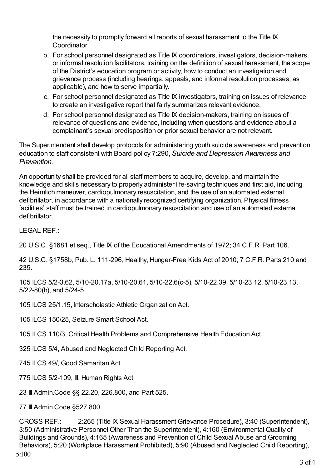the necessity to promptly forward all reports of sexual harassment to the Title IX Coordinator.

- b. For school personnel designated as Title IX coordinators, investigators, decision-makers, or informal resolution facilitators, training on the definition of sexual harassment, the scope of the District's education program or activity, how to conduct an investigation and grievance process (including hearings, appeals, and informal resolution processes, as applicable), and how to serve impartially.
- c. For school personnel designated as Title IX investigators, training on issues of relevance to create an investigative report that fairly summarizes relevant evidence.
- d. For school personnel designated as Title IX decision-makers, training on issues of relevance of questions and evidence, including when questions and evidence about a complainant's sexual predisposition or prior sexual behavior are not relevant.

The Superintendent shall develop protocols for administering youth suicide awareness and prevention education to staff consistent with Board policy 7:290, *Suicide and Depression Awareness and Prevention*.

An opportunity shall be provided for all staff members to acquire, develop, and maintain the knowledge and skills necessary to properly administer life-saving techniques and first aid, including the Heimlich maneuver, cardiopulmonary resuscitation, and the use of an automated external defibrillator, in accordance with a nationally recognized certifying organization. Physical fitness facilities' staff must be trained in cardiopulmonary resuscitation and use of an automated external defibrillator.

LEGAL REF.:

20 U.S.C. §1681 et seq., Title IX of the Educational Amendments of 1972; 34 C.F.R. Part 106.

42 U.S.C. §1758b, Pub. L. 111-296, Healthy, Hunger-Free Kids Act of 2010; 7 C.F.R. Parts 210 and 235.

105 ILCS 5/2-3.62, 5/10-20.17a, 5/10-20.61, 5/10-22.6(c-5), 5/10-22.39, 5/10-23.12, 5/10-23.13, 5/22-80(h), and 5/24-5.

105 ILCS 25/1.15, Interscholastic Athletic Organization Act.

105 ILCS 150/25, Seizure Smart School Act.

105 ILCS 110/3, Critical Health Problems and Comprehensive Health Education Act.

325 ILCS 5/4, Abused and Neglected Child Reporting Act.

745 ILCS 49/, Good Samaritan Act.

775 ILCS 5/2-109, Ill. Human Rights Act.

23 Ill.Admin.Code §§ 22.20, 226.800, and Part 525.

77 Ill.Admin.Code §527.800.

CROSS REF.: 2:265 (Title IX Sexual Harassment Grievance Procedure), 3:40 (Superintendent), 3:50 (Administrative Personnel Other Than the Superintendent), 4:160 (Environmental Quality of Buildings and Grounds), 4:165 (Awareness and Prevention of Child Sexual Abuse and Grooming Behaviors), 5:20 (Workplace Harassment Prohibited), 5:90 (Abused and Neglected Child Reporting), 5:100